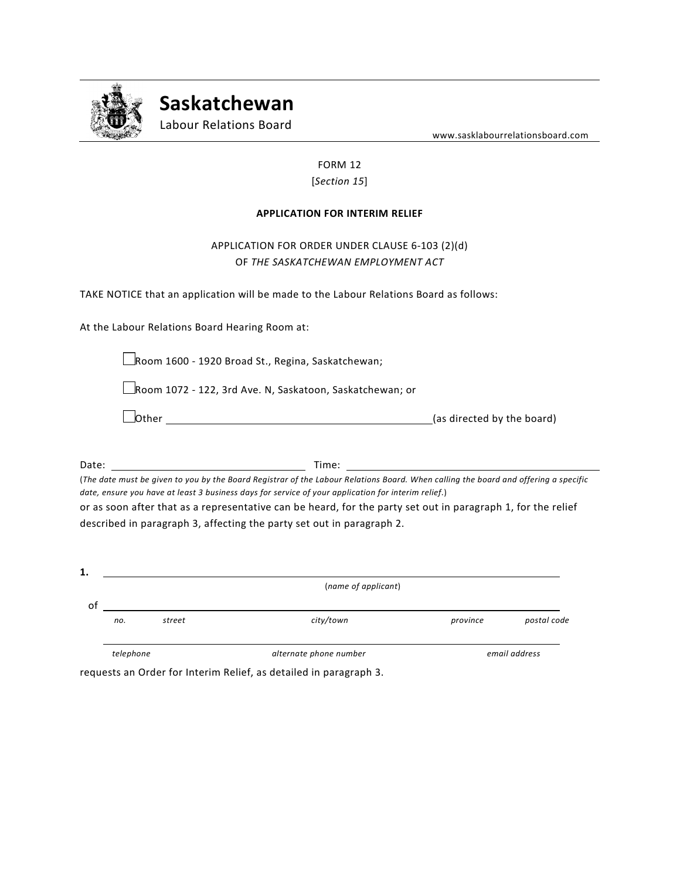

**Saskatchewan**

Labour Relations Board

www.sasklabourrelationsboard.com

## FORM 12 [*Section 15*]

## **APPLICATION FOR INTERIM RELIEF**

## APPLICATION FOR ORDER UNDER CLAUSE 6-103 (2)(d) OF *THE SASKATCHEWAN EMPLOYMENT ACT*

TAKE NOTICE that an application will be made to the Labour Relations Board as follows:

At the Labour Relations Board Hearing Room at:

Room 1600 - 1920 Broad St., Regina, Saskatchewan;

Room 1072 - 122, 3rd Ave. N, Saskatoon, Saskatchewan; or

| lOther |  |
|--------|--|
|        |  |

 $\lfloor$  (as directed by the board)

Date: Time: Time: Time: Time: Time: Time: Time: Time: Time: Time: Time: Time: Time: Time: Time: Time: Time: Time: Time: Time: Time: Time: Time: Time: Time: Time: Time: Time: Time: Time: Time: Time: Time: Time: Time: Time:

(*The date must be given to you by the Board Registrar of the Labour Relations Board. When calling the board and offering a specific date, ensure you have at least 3 business days for service of your application for interim relief*.) or as soon after that as a representative can be heard, for the party set out in paragraph 1, for the relief

described in paragraph 3, affecting the party set out in paragraph 2.

| 1. | (name of applicant) |        |                        |          |               |  |
|----|---------------------|--------|------------------------|----------|---------------|--|
| οt | no.                 | street | city/town              | province | postal code   |  |
|    | telephone           |        | alternate phone number |          | email address |  |

requests an Order for Interim Relief, as detailed in paragraph 3.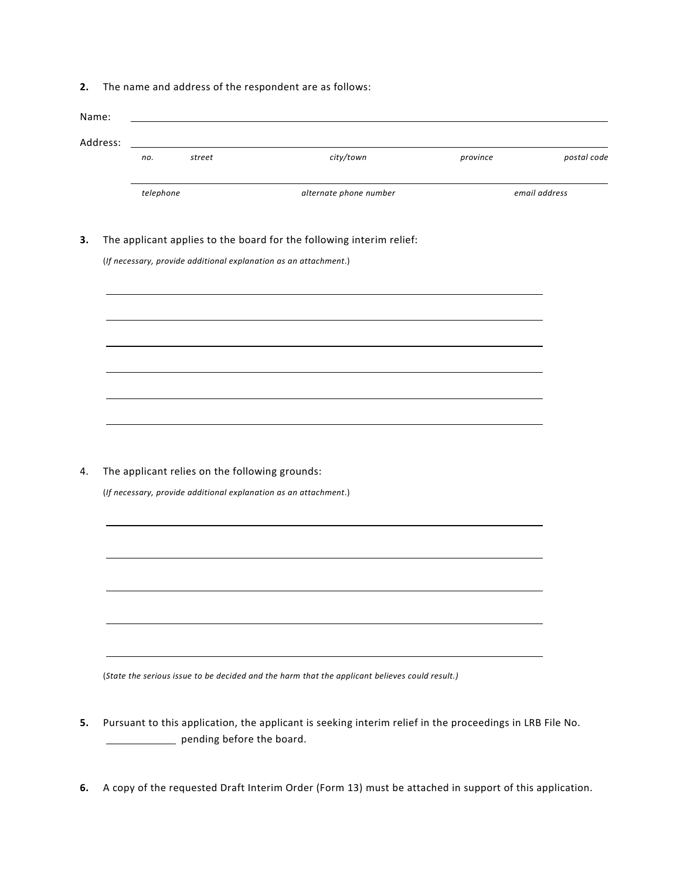**2.** The name and address of the respondent are as follows:

| Name:    |           |                                                |                                                                      |          |               |
|----------|-----------|------------------------------------------------|----------------------------------------------------------------------|----------|---------------|
| Address: |           |                                                |                                                                      |          |               |
|          | no.       | street                                         | city/town                                                            | province | postal code   |
|          | telephone |                                                | alternate phone number                                               |          | email address |
|          |           |                                                | The applicant applies to the board for the following interim relief: |          |               |
|          |           |                                                | (If necessary, provide additional explanation as an attachment.)     |          |               |
|          |           |                                                |                                                                      |          |               |
|          |           |                                                |                                                                      |          |               |
|          |           |                                                |                                                                      |          |               |
|          |           |                                                |                                                                      |          |               |
|          |           |                                                |                                                                      |          |               |
|          |           | The applicant relies on the following grounds: |                                                                      |          |               |
|          |           |                                                | (If necessary, provide additional explanation as an attachment.)     |          |               |
|          |           |                                                |                                                                      |          |               |
|          |           |                                                |                                                                      |          |               |
|          |           |                                                |                                                                      |          |               |
|          |           |                                                |                                                                      |          |               |
|          |           |                                                |                                                                      |          |               |

- **5.** Pursuant to this application, the applicant is seeking interim relief in the proceedings in LRB File No. pending before the board.
- **6.** A copy of the requested Draft Interim Order (Form 13) must be attached in support of this application.